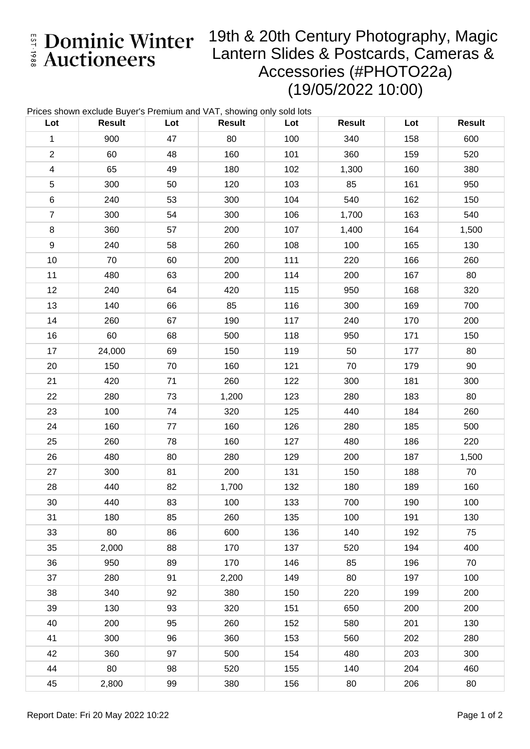E Dominic Winter

## 19th & 20th Century Photography, Magic Lantern Slides & Postcards, Cameras & Accessories (#PHOTO22a) (19/05/2022 10:00)

| Prices shown exclude Buyer's Premium and VAT, showing only sold lots |               |     |               |     |               |     |               |  |  |
|----------------------------------------------------------------------|---------------|-----|---------------|-----|---------------|-----|---------------|--|--|
| Lot                                                                  | <b>Result</b> | Lot | <b>Result</b> | Lot | <b>Result</b> | Lot | <b>Result</b> |  |  |
| $\mathbf{1}$                                                         | 900           | 47  | 80            | 100 | 340           | 158 | 600           |  |  |
| $\overline{c}$                                                       | 60            | 48  | 160           | 101 | 360           | 159 | 520           |  |  |
| $\overline{\mathbf{4}}$                                              | 65            | 49  | 180           | 102 | 1,300         | 160 | 380           |  |  |
| $\mathbf 5$                                                          | 300           | 50  | 120           | 103 | 85            | 161 | 950           |  |  |
| $\,6$                                                                | 240           | 53  | 300           | 104 | 540           | 162 | 150           |  |  |
| $\overline{7}$                                                       | 300           | 54  | 300           | 106 | 1,700         | 163 | 540           |  |  |
| $\bf 8$                                                              | 360           | 57  | 200           | 107 | 1,400         | 164 | 1,500         |  |  |
| $\boldsymbol{9}$                                                     | 240           | 58  | 260           | 108 | 100           | 165 | 130           |  |  |
| 10                                                                   | 70            | 60  | 200           | 111 | 220           | 166 | 260           |  |  |
| 11                                                                   | 480           | 63  | 200           | 114 | 200           | 167 | 80            |  |  |
| 12                                                                   | 240           | 64  | 420           | 115 | 950           | 168 | 320           |  |  |
| 13                                                                   | 140           | 66  | 85            | 116 | 300           | 169 | 700           |  |  |
| 14                                                                   | 260           | 67  | 190           | 117 | 240           | 170 | 200           |  |  |
| 16                                                                   | 60            | 68  | 500           | 118 | 950           | 171 | 150           |  |  |
| 17                                                                   | 24,000        | 69  | 150           | 119 | 50            | 177 | 80            |  |  |
| 20                                                                   | 150           | 70  | 160           | 121 | 70            | 179 | 90            |  |  |
| 21                                                                   | 420           | 71  | 260           | 122 | 300           | 181 | 300           |  |  |
| 22                                                                   | 280           | 73  | 1,200         | 123 | 280           | 183 | 80            |  |  |
| 23                                                                   | 100           | 74  | 320           | 125 | 440           | 184 | 260           |  |  |
| 24                                                                   | 160           | 77  | 160           | 126 | 280           | 185 | 500           |  |  |
| 25                                                                   | 260           | 78  | 160           | 127 | 480           | 186 | 220           |  |  |
| 26                                                                   | 480           | 80  | 280           | 129 | 200           | 187 | 1,500         |  |  |
| 27                                                                   | 300           | 81  | 200           | 131 | 150           | 188 | 70            |  |  |
| 28                                                                   | 440           | 82  | 1,700         | 132 | 180           | 189 | 160           |  |  |
| 30                                                                   | 440           | 83  | 100           | 133 | 700           | 190 | 100           |  |  |
| 31                                                                   | 180           | 85  | 260           | 135 | 100           | 191 | 130           |  |  |
| 33                                                                   | 80            | 86  | 600           | 136 | 140           | 192 | 75            |  |  |
| 35                                                                   | 2,000         | 88  | 170           | 137 | 520           | 194 | 400           |  |  |
| 36                                                                   | 950           | 89  | 170           | 146 | 85            | 196 | 70            |  |  |
| 37                                                                   | 280           | 91  | 2,200         | 149 | 80            | 197 | 100           |  |  |
| 38                                                                   | 340           | 92  | 380           | 150 | 220           | 199 | 200           |  |  |
| 39                                                                   | 130           | 93  | 320           | 151 | 650           | 200 | 200           |  |  |
| 40                                                                   | 200           | 95  | 260           | 152 | 580           | 201 | 130           |  |  |
| 41                                                                   | 300           | 96  | 360           | 153 | 560           | 202 | 280           |  |  |
| 42                                                                   | 360           | 97  | 500           | 154 | 480           | 203 | 300           |  |  |
| 44                                                                   | 80            | 98  | 520           | 155 | 140           | 204 | 460           |  |  |
| 45                                                                   | 2,800         | 99  | 380           | 156 | 80            | 206 | 80            |  |  |